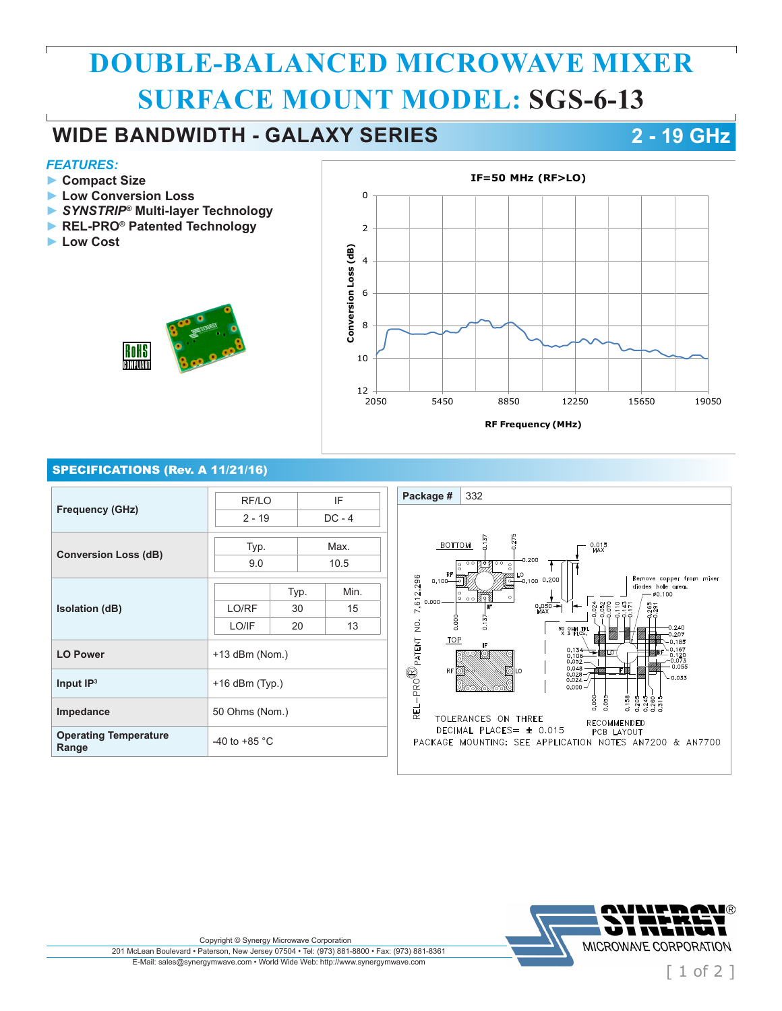# **DOUBLE-BALANCED MICROWAVE MIXER SURFACE MOUNT MODEL: SGS-6-13**

## **WIDE BANDWIDTH - GALAXY SERIES 2 - 19 GHz**

### *FEATURES:*

- **► Compact Size**
- **► Low Conversion Loss**
- **►** *SYNSTRIP®* **Multi-layer Technology**
- **► REL-PRO® Patented Technology**
- **► Low Cost**





### SPECIFICATIONS (Rev. A 11/21/16)

| <b>Frequency (GHz)</b>                | RF/LO<br>$2 - 19$       |      | IF<br>$DC - 4$ |  |
|---------------------------------------|-------------------------|------|----------------|--|
|                                       |                         |      |                |  |
| <b>Conversion Loss (dB)</b>           | Typ.                    |      | Max.           |  |
|                                       | 9.0                     |      | 10.5           |  |
| <b>Isolation (dB)</b>                 |                         | Typ. | Min.           |  |
|                                       | LO/RF                   | 30   | 15             |  |
|                                       | LO/IF                   | 20   | 13             |  |
| <b>LO Power</b>                       | +13 dBm (Nom.)          |      |                |  |
| Input $IP3$                           | $+16$ dBm (Typ.)        |      |                |  |
| Impedance                             | 50 Ohms (Nom.)          |      |                |  |
| <b>Operating Temperature</b><br>Range | -40 to +85 $^{\circ}$ C |      |                |  |





Copyright © Synergy Microwave Corporation

201 McLean Boulevard • Paterson, New Jersey 07504 • Tel: (973) 881-8800 • Fax: (973) 881-8361 E-Mail: sales@synergymwave.com • World Wide Web: http://www.synergymwave.com